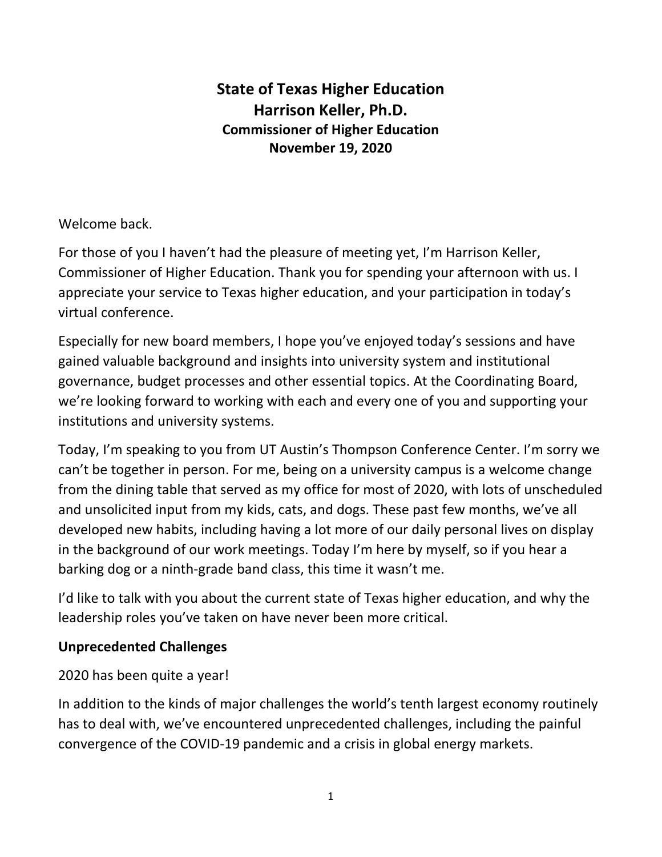# **State of Texas Higher Education Harrison Keller, Ph.D. Commissioner of Higher Education November 19, 2020**

#### Welcome back.

For those of you I haven't had the pleasure of meeting yet, I'm Harrison Keller, Commissioner of Higher Education. Thank you for spending your afternoon with us. I appreciate your service to Texas higher education, and your participation in today's virtual conference.

Especially for new board members, I hope you've enjoyed today's sessions and have gained valuable background and insights into university system and institutional governance, budget processes and other essential topics. At the Coordinating Board, we're looking forward to working with each and every one of you and supporting your institutions and university systems.

Today, I'm speaking to you from UT Austin's Thompson Conference Center. I'm sorry we can't be together in person. For me, being on a university campus is a welcome change from the dining table that served as my office for most of 2020, with lots of unscheduled and unsolicited input from my kids, cats, and dogs. These past few months, we've all developed new habits, including having a lot more of our daily personal lives on display in the background of our work meetings. Today I'm here by myself, so if you hear a barking dog or a ninth-grade band class, this time it wasn't me.

I'd like to talk with you about the current state of Texas higher education, and why the leadership roles you've taken on have never been more critical.

## **Unprecedented Challenges**

## 2020 has been quite a year!

In addition to the kinds of major challenges the world's tenth largest economy routinely has to deal with, we've encountered unprecedented challenges, including the painful convergence of the COVID-19 pandemic and a crisis in global energy markets.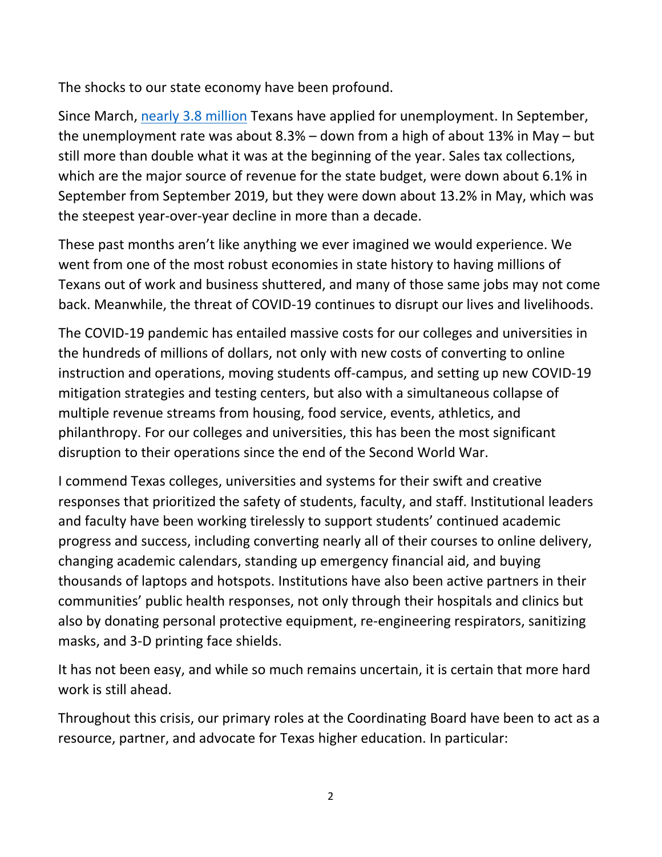The shocks to our state economy have been profound.

Since March, [nearly 3.8 million](https://apps.texastribune.org/features/2020/texas-unemployment/?_ga=2.164934271.1774464909.1604844267-1613552944.1604844267) Texans have applied for unemployment. In September, the unemployment rate was about 8.3% – down from a high of about 13% in May – but still more than double what it was at the beginning of the year. Sales tax collections, which are the major source of revenue for the state budget, were down about 6.1% in September from September 2019, but they were down about 13.2% in May, which was the steepest year-over-year decline in more than a decade.

These past months aren't like anything we ever imagined we would experience. We went from one of the most robust economies in state history to having millions of Texans out of work and business shuttered, and many of those same jobs may not come back. Meanwhile, the threat of COVID-19 continues to disrupt our lives and livelihoods.

The COVID-19 pandemic has entailed massive costs for our colleges and universities in the hundreds of millions of dollars, not only with new costs of converting to online instruction and operations, moving students off-campus, and setting up new COVID-19 mitigation strategies and testing centers, but also with a simultaneous collapse of multiple revenue streams from housing, food service, events, athletics, and philanthropy. For our colleges and universities, this has been the most significant disruption to their operations since the end of the Second World War.

I commend Texas colleges, universities and systems for their swift and creative responses that prioritized the safety of students, faculty, and staff. Institutional leaders and faculty have been working tirelessly to support students' continued academic progress and success, including converting nearly all of their courses to online delivery, changing academic calendars, standing up emergency financial aid, and buying thousands of laptops and hotspots. Institutions have also been active partners in their communities' public health responses, not only through their hospitals and clinics but also by donating personal protective equipment, re-engineering respirators, sanitizing masks, and 3-D printing face shields.

It has not been easy, and while so much remains uncertain, it is certain that more hard work is still ahead.

Throughout this crisis, our primary roles at the Coordinating Board have been to act as a resource, partner, and advocate for Texas higher education. In particular: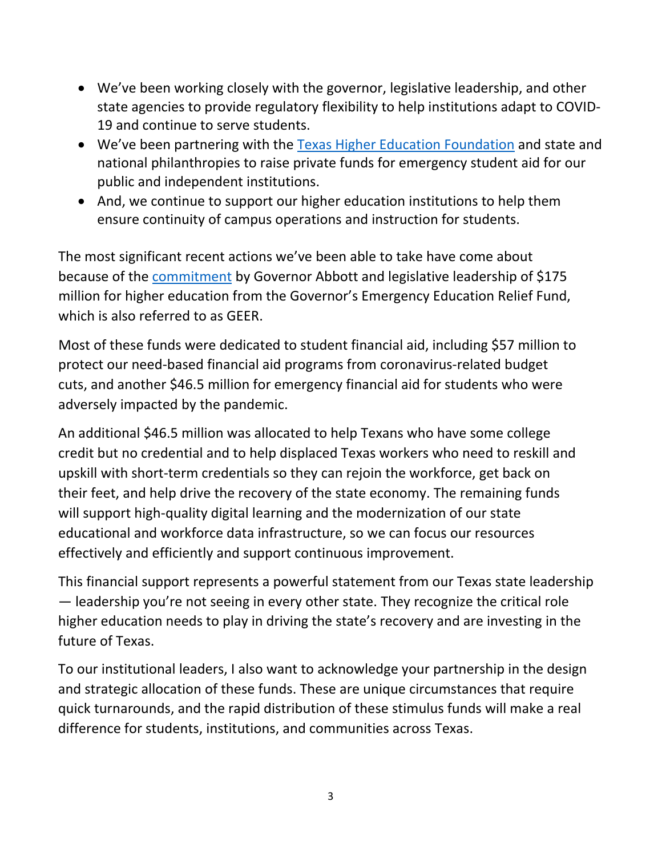- We've been working closely with the governor, legislative leadership, and other state agencies to provide regulatory flexibility to help institutions adapt to COVID-19 and continue to serve students.
- We've been partnering with the [Texas Higher Education Foundation](https://txhigheredfoundation.org/covidfund/) and state and national philanthropies to raise private funds for emergency student aid for our public and independent institutions.
- And, we continue to support our higher education institutions to help them ensure continuity of campus operations and instruction for students.

The most significant recent actions we've been able to take have come about because of the [commitment](https://gov.texas.gov/news/post/governor-abbott-announces-additional-118-million-in-federal-funding-to-support-texas-higher-education) by Governor Abbott and legislative leadership of \$175 million for higher education from the Governor's Emergency Education Relief Fund, which is also referred to as GEER.

Most of these funds were dedicated to student financial aid, including \$57 million to protect our need-based financial aid programs from coronavirus-related budget cuts, and another \$46.5 million for emergency financial aid for students who were adversely impacted by the pandemic.

An additional \$46.5 million was allocated to help Texans who have some college credit but no credential and to help displaced Texas workers who need to reskill and upskill with short-term credentials so they can rejoin the workforce, get back on their feet, and help drive the recovery of the state economy. The remaining funds will support high-quality digital learning and the modernization of our state educational and workforce data infrastructure, so we can focus our resources effectively and efficiently and support continuous improvement.

This financial support represents a powerful statement from our Texas state leadership — leadership you're not seeing in every other state. They recognize the critical role higher education needs to play in driving the state's recovery and are investing in the future of Texas.

To our institutional leaders, I also want to acknowledge your partnership in the design and strategic allocation of these funds. These are unique circumstances that require quick turnarounds, and the rapid distribution of these stimulus funds will make a real difference for students, institutions, and communities across Texas.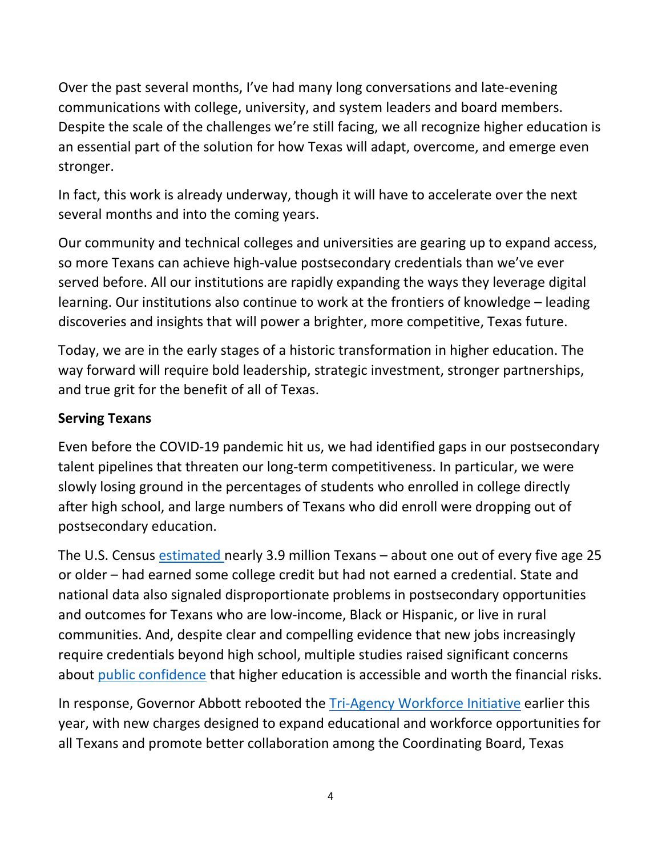Over the past several months, I've had many long conversations and late-evening communications with college, university, and system leaders and board members. Despite the scale of the challenges we're still facing, we all recognize higher education is an essential part of the solution for how Texas will adapt, overcome, and emerge even stronger.

In fact, this work is already underway, though it will have to accelerate over the next several months and into the coming years.

Our community and technical colleges and universities are gearing up to expand access, so more Texans can achieve high-value postsecondary credentials than we've ever served before. All our institutions are rapidly expanding the ways they leverage digital learning. Our institutions also continue to work at the frontiers of knowledge – leading discoveries and insights that will power a brighter, more competitive, Texas future.

Today, we are in the early stages of a historic transformation in higher education. The way forward will require bold leadership, strategic investment, stronger partnerships, and true grit for the benefit of all of Texas.

#### **Serving Texans**

Even before the COVID-19 pandemic hit us, we had identified gaps in our postsecondary talent pipelines that threaten our long-term competitiveness. In particular, we were slowly losing ground in the percentages of students who enrolled in college directly after high school, and large numbers of Texans who did enroll were dropping out of postsecondary education.

The U.S. Census [estimated](https://data.census.gov/cedsci/table?g=0400000US48&y=2018&d=ACS%205-Year%20Estimates%20Data%20Profiles&tid=ACSDP5Y2018.DP02) nearly 3.9 million Texans – about one out of every five age 25 or older – had earned some college credit but had not earned a credential. State and national data also signaled disproportionate problems in postsecondary opportunities and outcomes for Texans who are low-income, Black or Hispanic, or live in rural communities. And, despite clear and compelling evidence that new jobs increasingly require credentials beyond high school, multiple studies raised significant concerns about [public confidence](https://medium.com/third-way/americans-agree-higher-education-is-crucial-b5be4a4f830b) that higher education is accessible and worth the financial risks.

In response, Governor Abbott rebooted the [Tri-Agency Workforce Initiative](https://gov.texas.gov/news/post/governor-abbott-charges-tri-agency-workforce-initiative-with-continued-transformation-of-workforce-development) earlier this year, with new charges designed to expand educational and workforce opportunities for all Texans and promote better collaboration among the Coordinating Board, Texas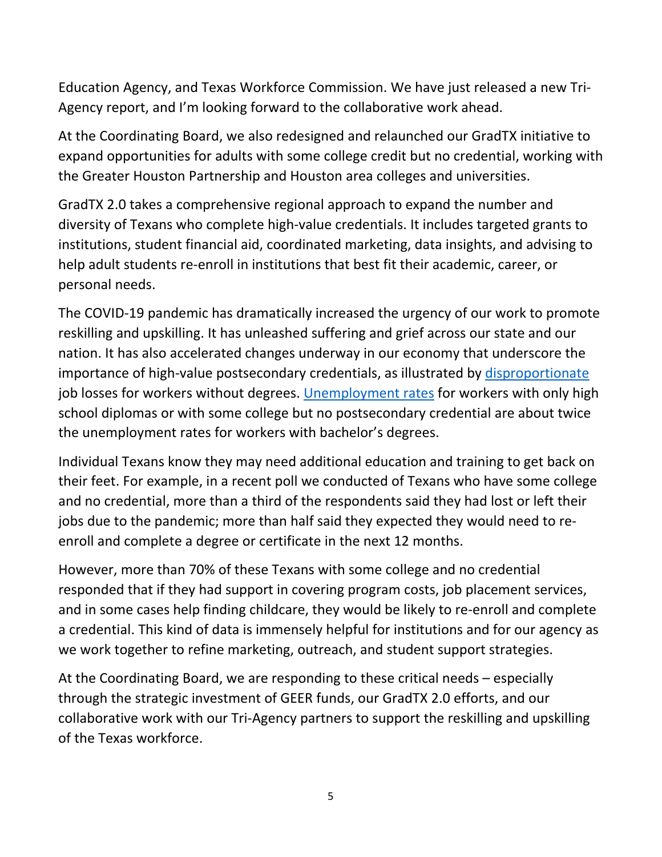Education Agency, and Texas Workforce Commission. We have just released a new Tri-Agency report, and I'm looking forward to the collaborative work ahead.

At the Coordinating Board, we also redesigned and relaunched our GradTX initiative to expand opportunities for adults with some college credit but no credential, working with the Greater Houston Partnership and Houston area colleges and universities.

GradTX 2.0 takes a comprehensive regional approach to expand the number and diversity of Texans who complete high-value credentials. It includes targeted grants to institutions, student financial aid, coordinated marketing, data insights, and advising to help adult students re-enroll in institutions that best fit their academic, career, or personal needs.

The COVID-19 pandemic has dramatically increased the urgency of our work to promote reskilling and upskilling. It has unleashed suffering and grief across our state and our nation. It has also accelerated changes underway in our economy that underscore the importance of high-value postsecondary credentials, as illustrated by [disproportionate](https://www.wsj.com/articles/the-covid-economy-carves-deep-divide-between-haves-and-have-nots-11601910595?st=z88ix7da1ph6sy1&reflink=article_email_share) job losses for workers without degrees. [Unemployment rates](https://cew.georgetown.edu/cew-reports/jobtracker/#unemployment-tracking) for workers with only high school diplomas or with some college but no postsecondary credential are about twice the unemployment rates for workers with bachelor's degrees.

Individual Texans know they may need additional education and training to get back on their feet. For example, in a recent poll we conducted of Texans who have some college and no credential, more than a third of the respondents said they had lost or left their jobs due to the pandemic; more than half said they expected they would need to reenroll and complete a degree or certificate in the next 12 months.

However, more than 70% of these Texans with some college and no credential responded that if they had support in covering program costs, job placement services, and in some cases help finding childcare, they would be likely to re-enroll and complete a credential. This kind of data is immensely helpful for institutions and for our agency as we work together to refine marketing, outreach, and student support strategies.

At the Coordinating Board, we are responding to these critical needs – especially through the strategic investment of GEER funds, our GradTX 2.0 efforts, and our collaborative work with our Tri-Agency partners to support the reskilling and upskilling of the Texas workforce.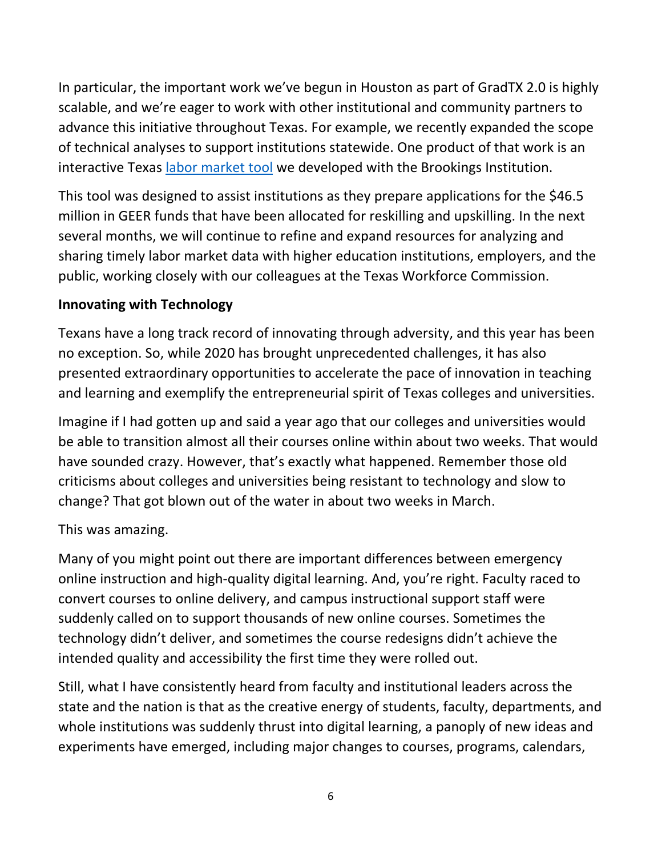In particular, the important work we've begun in Houston as part of GradTX 2.0 is highly scalable, and we're eager to work with other institutional and community partners to advance this initiative throughout Texas. For example, we recently expanded the scope of technical analyses to support institutions statewide. One product of that work is an interactive Texas [labor market tool](https://brookingswof.shinyapps.io/TX_workforce_dev_app/) we developed with the Brookings Institution.

This tool was designed to assist institutions as they prepare applications for the \$46.5 million in GEER funds that have been allocated for reskilling and upskilling. In the next several months, we will continue to refine and expand resources for analyzing and sharing timely labor market data with higher education institutions, employers, and the public, working closely with our colleagues at the Texas Workforce Commission.

#### **Innovating with Technology**

Texans have a long track record of innovating through adversity, and this year has been no exception. So, while 2020 has brought unprecedented challenges, it has also presented extraordinary opportunities to accelerate the pace of innovation in teaching and learning and exemplify the entrepreneurial spirit of Texas colleges and universities.

Imagine if I had gotten up and said a year ago that our colleges and universities would be able to transition almost all their courses online within about two weeks. That would have sounded crazy. However, that's exactly what happened. Remember those old criticisms about colleges and universities being resistant to technology and slow to change? That got blown out of the water in about two weeks in March.

#### This was amazing.

Many of you might point out there are important differences between emergency online instruction and high-quality digital learning. And, you're right. Faculty raced to convert courses to online delivery, and campus instructional support staff were suddenly called on to support thousands of new online courses. Sometimes the technology didn't deliver, and sometimes the course redesigns didn't achieve the intended quality and accessibility the first time they were rolled out.

Still, what I have consistently heard from faculty and institutional leaders across the state and the nation is that as the creative energy of students, faculty, departments, and whole institutions was suddenly thrust into digital learning, a panoply of new ideas and experiments have emerged, including major changes to courses, programs, calendars,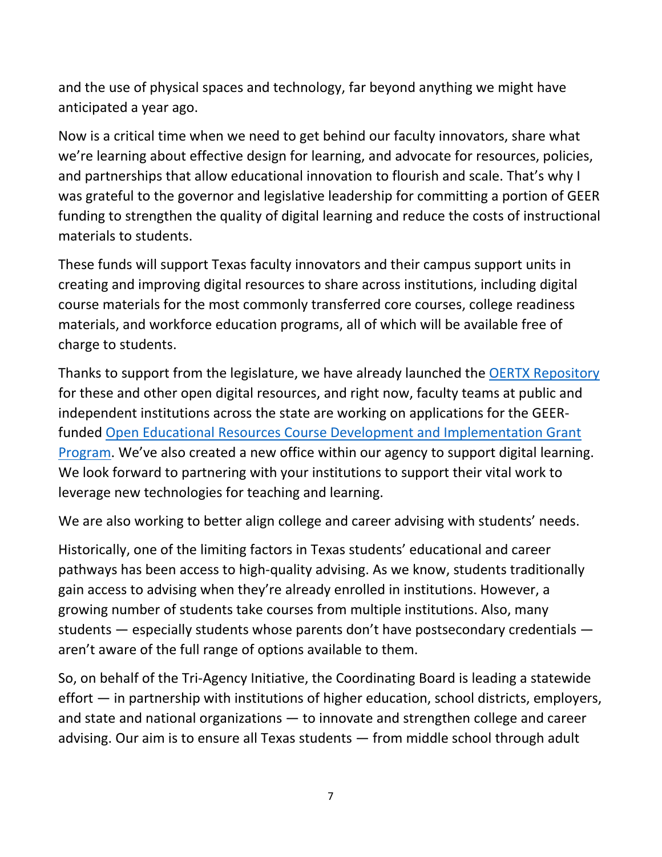and the use of physical spaces and technology, far beyond anything we might have anticipated a year ago.

Now is a critical time when we need to get behind our faculty innovators, share what we're learning about effective design for learning, and advocate for resources, policies, and partnerships that allow educational innovation to flourish and scale. That's why I was grateful to the governor and legislative leadership for committing a portion of GEER funding to strengthen the quality of digital learning and reduce the costs of instructional materials to students.

These funds will support Texas faculty innovators and their campus support units in creating and improving digital resources to share across institutions, including digital course materials for the most commonly transferred core courses, college readiness materials, and workforce education programs, all of which will be available free of charge to students.

Thanks to support from the legislature, we have already launched the **OERTX Repository** for these and other open digital resources, and right now, faculty teams at public and independent institutions across the state are working on applications for the GEERfunded [Open Educational Resources Course Development and Implementation Grant](https://reportcenter.highered.texas.gov/correspondence/general-correspondence/rfa-oer-grants/)  [Program.](https://reportcenter.highered.texas.gov/correspondence/general-correspondence/rfa-oer-grants/) We've also created a new office within our agency to support digital learning. We look forward to partnering with your institutions to support their vital work to leverage new technologies for teaching and learning.

We are also working to better align college and career advising with students' needs.

Historically, one of the limiting factors in Texas students' educational and career pathways has been access to high-quality advising. As we know, students traditionally gain access to advising when they're already enrolled in institutions. However, a growing number of students take courses from multiple institutions. Also, many students — especially students whose parents don't have postsecondary credentials aren't aware of the full range of options available to them.

So, on behalf of the Tri-Agency Initiative, the Coordinating Board is leading a statewide effort — in partnership with institutions of higher education, school districts, employers, and state and national organizations — to innovate and strengthen college and career advising. Our aim is to ensure all Texas students — from middle school through adult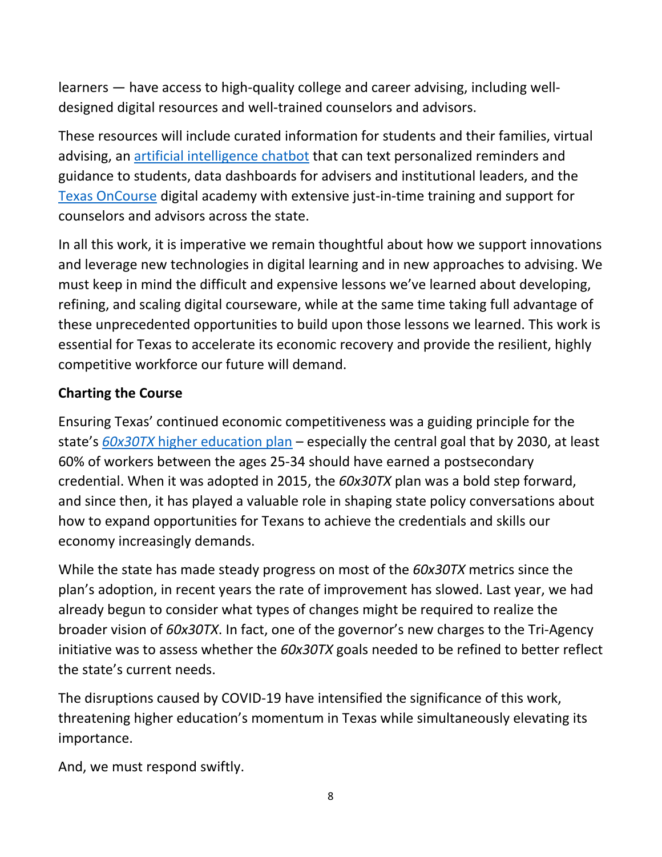learners — have access to high-quality college and career advising, including welldesigned digital resources and well-trained counselors and advisors.

These resources will include curated information for students and their families, virtual advising, an [artificial intelligence chatbot](https://reportcenter.highered.texas.gov/correspondence/general-correspondence/statewide-chatbot-expand-college-access/) that can text personalized reminders and guidance to students, data dashboards for advisers and institutional leaders, and the [Texas OnCourse](https://texasoncourse.org/) digital academy with extensive just-in-time training and support for counselors and advisors across the state.

In all this work, it is imperative we remain thoughtful about how we support innovations and leverage new technologies in digital learning and in new approaches to advising. We must keep in mind the difficult and expensive lessons we've learned about developing, refining, and scaling digital courseware, while at the same time taking full advantage of these unprecedented opportunities to build upon those lessons we learned. This work is essential for Texas to accelerate its economic recovery and provide the resilient, highly competitive workforce our future will demand.

## **Charting the Course**

Ensuring Texas' continued economic competitiveness was a guiding principle for the state's *60x30TX* [higher education plan](http://www.60x30tx.com/) – especially the central goal that by 2030, at least 60% of workers between the ages 25-34 should have earned a postsecondary credential. When it was adopted in 2015, the *60x30TX* plan was a bold step forward, and since then, it has played a valuable role in shaping state policy conversations about how to expand opportunities for Texans to achieve the credentials and skills our economy increasingly demands.

While the state has made steady progress on most of the *60x30TX* metrics since the plan's adoption, in recent years the rate of improvement has slowed. Last year, we had already begun to consider what types of changes might be required to realize the broader vision of *60x30TX*. In fact, one of the governor's new charges to the Tri-Agency initiative was to assess whether the *60x30TX* goals needed to be refined to better reflect the state's current needs.

The disruptions caused by COVID-19 have intensified the significance of this work, threatening higher education's momentum in Texas while simultaneously elevating its importance.

And, we must respond swiftly.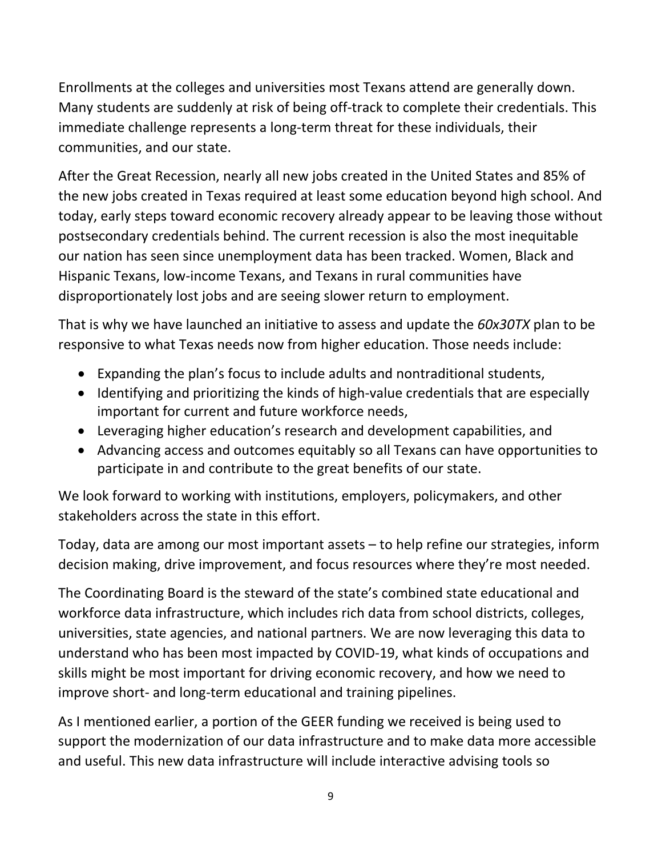Enrollments at the colleges and universities most Texans attend are generally down. Many students are suddenly at risk of being off-track to complete their credentials. This immediate challenge represents a long-term threat for these individuals, their communities, and our state.

After the Great Recession, nearly all new jobs created in the United States and 85% of the new jobs created in Texas required at least some education beyond high school. And today, early steps toward economic recovery already appear to be leaving those without postsecondary credentials behind. The current recession is also the most inequitable our nation has seen since unemployment data has been tracked. Women, Black and Hispanic Texans, low-income Texans, and Texans in rural communities have disproportionately lost jobs and are seeing slower return to employment.

That is why we have launched an initiative to assess and update the *60x30TX* plan to be responsive to what Texas needs now from higher education. Those needs include:

- Expanding the plan's focus to include adults and nontraditional students,
- Identifying and prioritizing the kinds of high-value credentials that are especially important for current and future workforce needs,
- Leveraging higher education's research and development capabilities, and
- Advancing access and outcomes equitably so all Texans can have opportunities to participate in and contribute to the great benefits of our state.

We look forward to working with institutions, employers, policymakers, and other stakeholders across the state in this effort.

Today, data are among our most important assets – to help refine our strategies, inform decision making, drive improvement, and focus resources where they're most needed.

The Coordinating Board is the steward of the state's combined state educational and workforce data infrastructure, which includes rich data from school districts, colleges, universities, state agencies, and national partners. We are now leveraging this data to understand who has been most impacted by COVID-19, what kinds of occupations and skills might be most important for driving economic recovery, and how we need to improve short- and long-term educational and training pipelines.

As I mentioned earlier, a portion of the GEER funding we received is being used to support the modernization of our data infrastructure and to make data more accessible and useful. This new data infrastructure will include interactive advising tools so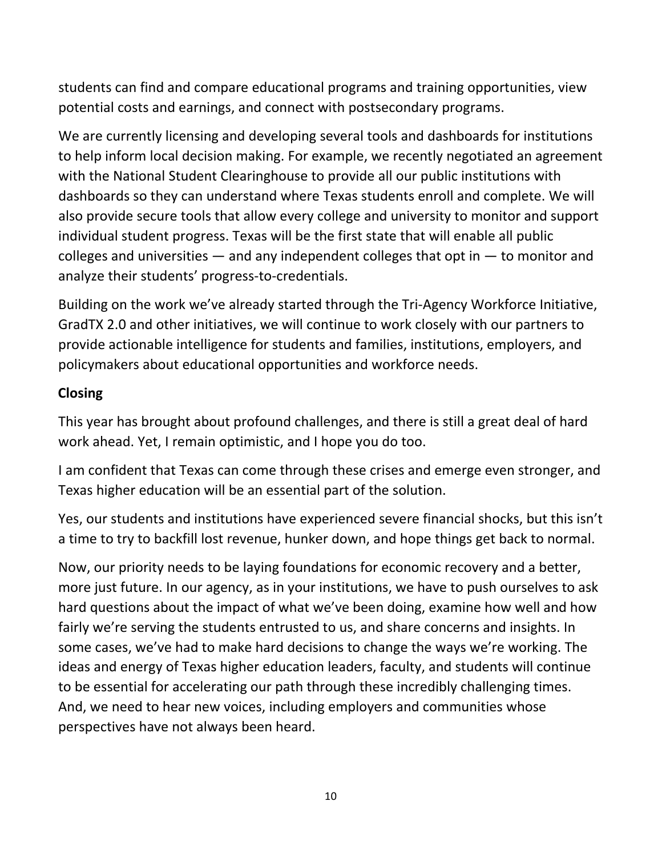students can find and compare educational programs and training opportunities, view potential costs and earnings, and connect with postsecondary programs.

We are currently licensing and developing several tools and dashboards for institutions to help inform local decision making. For example, we recently negotiated an agreement with the National Student Clearinghouse to provide all our public institutions with dashboards so they can understand where Texas students enroll and complete. We will also provide secure tools that allow every college and university to monitor and support individual student progress. Texas will be the first state that will enable all public colleges and universities — and any independent colleges that opt in — to monitor and analyze their students' progress-to-credentials.

Building on the work we've already started through the Tri-Agency Workforce Initiative, GradTX 2.0 and other initiatives, we will continue to work closely with our partners to provide actionable intelligence for students and families, institutions, employers, and policymakers about educational opportunities and workforce needs.

### **Closing**

This year has brought about profound challenges, and there is still a great deal of hard work ahead. Yet, I remain optimistic, and I hope you do too.

I am confident that Texas can come through these crises and emerge even stronger, and Texas higher education will be an essential part of the solution.

Yes, our students and institutions have experienced severe financial shocks, but this isn't a time to try to backfill lost revenue, hunker down, and hope things get back to normal.

Now, our priority needs to be laying foundations for economic recovery and a better, more just future. In our agency, as in your institutions, we have to push ourselves to ask hard questions about the impact of what we've been doing, examine how well and how fairly we're serving the students entrusted to us, and share concerns and insights. In some cases, we've had to make hard decisions to change the ways we're working. The ideas and energy of Texas higher education leaders, faculty, and students will continue to be essential for accelerating our path through these incredibly challenging times. And, we need to hear new voices, including employers and communities whose perspectives have not always been heard.